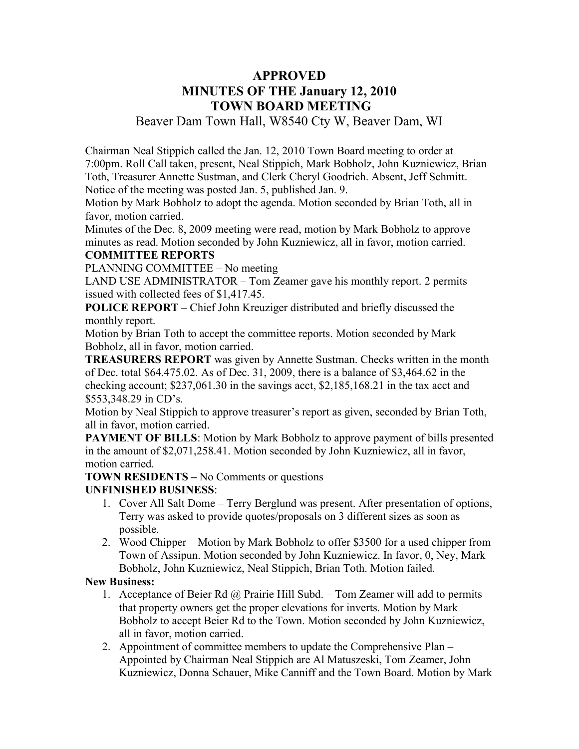## **APPROVED MINUTES OF THE January 12, 2010 TOWN BOARD MEETING**

Beaver Dam Town Hall, W8540 Cty W, Beaver Dam, WI

Chairman Neal Stippich called the Jan. 12, 2010 Town Board meeting to order at 7:00pm. Roll Call taken, present, Neal Stippich, Mark Bobholz, John Kuzniewicz, Brian Toth, Treasurer Annette Sustman, and Clerk Cheryl Goodrich. Absent, Jeff Schmitt. Notice of the meeting was posted Jan. 5, published Jan. 9.

Motion by Mark Bobholz to adopt the agenda. Motion seconded by Brian Toth, all in favor, motion carried.

Minutes of the Dec. 8, 2009 meeting were read, motion by Mark Bobholz to approve minutes as read. Motion seconded by John Kuzniewicz, all in favor, motion carried.

# **COMMITTEE REPORTS**

PLANNING COMMITTEE – No meeting

LAND USE ADMINISTRATOR – Tom Zeamer gave his monthly report. 2 permits issued with collected fees of \$1,417.45.

**POLICE REPORT** – Chief John Kreuziger distributed and briefly discussed the monthly report.

Motion by Brian Toth to accept the committee reports. Motion seconded by Mark Bobholz, all in favor, motion carried.

**TREASURERS REPORT** was given by Annette Sustman. Checks written in the month of Dec. total \$64.475.02. As of Dec. 31, 2009, there is a balance of \$3,464.62 in the checking account; \$237,061.30 in the savings acct, \$2,185,168.21 in the tax acct and \$553,348.29 in CD's.

Motion by Neal Stippich to approve treasurer's report as given, seconded by Brian Toth, all in favor, motion carried.

**PAYMENT OF BILLS:** Motion by Mark Bobholz to approve payment of bills presented in the amount of \$2,071,258.41. Motion seconded by John Kuzniewicz, all in favor, motion carried.

**TOWN RESIDENTS –** No Comments or questions **UNFINISHED BUSINESS**:

- 1. Cover All Salt Dome Terry Berglund was present. After presentation of options, Terry was asked to provide quotes/proposals on 3 different sizes as soon as possible.
- 2. Wood Chipper Motion by Mark Bobholz to offer \$3500 for a used chipper from Town of Assipun. Motion seconded by John Kuzniewicz. In favor, 0, Ney, Mark Bobholz, John Kuzniewicz, Neal Stippich, Brian Toth. Motion failed.

#### **New Business:**

- 1. Acceptance of Beier Rd  $\omega$  Prairie Hill Subd. Tom Zeamer will add to permits that property owners get the proper elevations for inverts. Motion by Mark Bobholz to accept Beier Rd to the Town. Motion seconded by John Kuzniewicz, all in favor, motion carried.
- 2. Appointment of committee members to update the Comprehensive Plan Appointed by Chairman Neal Stippich are Al Matuszeski, Tom Zeamer, John Kuzniewicz, Donna Schauer, Mike Canniff and the Town Board. Motion by Mark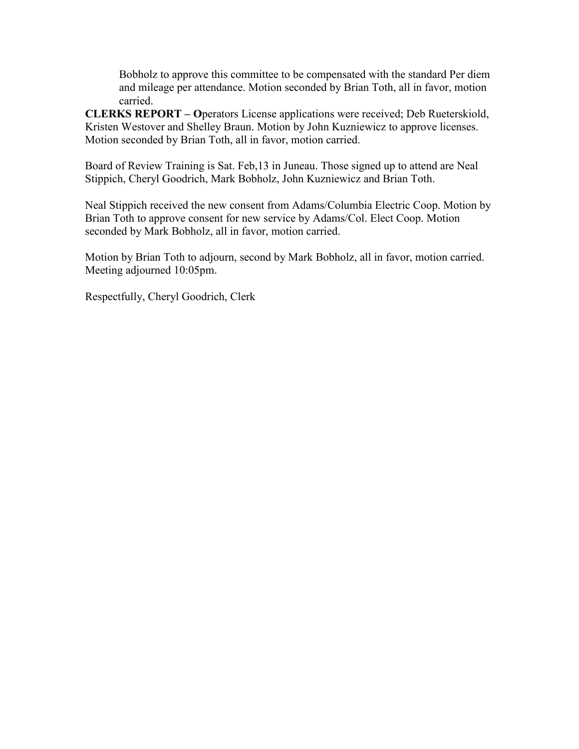Bobholz to approve this committee to be compensated with the standard Per diem and mileage per attendance. Motion seconded by Brian Toth, all in favor, motion carried.

**CLERKS REPORT – O**perators License applications were received; Deb Rueterskiold, Kristen Westover and Shelley Braun. Motion by John Kuzniewicz to approve licenses. Motion seconded by Brian Toth, all in favor, motion carried.

Board of Review Training is Sat. Feb,13 in Juneau. Those signed up to attend are Neal Stippich, Cheryl Goodrich, Mark Bobholz, John Kuzniewicz and Brian Toth.

Neal Stippich received the new consent from Adams/Columbia Electric Coop. Motion by Brian Toth to approve consent for new service by Adams/Col. Elect Coop. Motion seconded by Mark Bobholz, all in favor, motion carried.

Motion by Brian Toth to adjourn, second by Mark Bobholz, all in favor, motion carried. Meeting adjourned 10:05pm.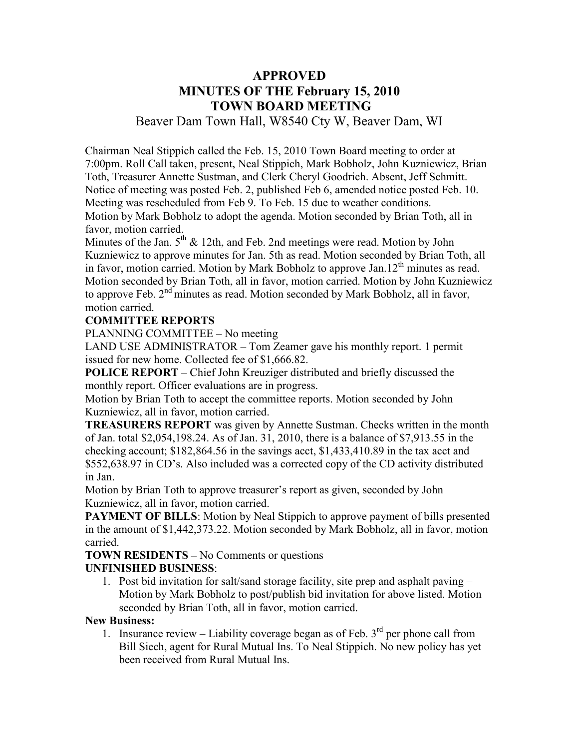# **APPROVED MINUTES OF THE February 15, 2010 TOWN BOARD MEETING**

Beaver Dam Town Hall, W8540 Cty W, Beaver Dam, WI

Chairman Neal Stippich called the Feb. 15, 2010 Town Board meeting to order at 7:00pm. Roll Call taken, present, Neal Stippich, Mark Bobholz, John Kuzniewicz, Brian Toth, Treasurer Annette Sustman, and Clerk Cheryl Goodrich. Absent, Jeff Schmitt. Notice of meeting was posted Feb. 2, published Feb 6, amended notice posted Feb. 10. Meeting was rescheduled from Feb 9. To Feb. 15 due to weather conditions. Motion by Mark Bobholz to adopt the agenda. Motion seconded by Brian Toth, all in favor, motion carried.

Minutes of the Jan.  $5<sup>th</sup>$  & 12th, and Feb. 2nd meetings were read. Motion by John Kuzniewicz to approve minutes for Jan. 5th as read. Motion seconded by Brian Toth, all in favor, motion carried. Motion by Mark Bobholz to approve Jan.12<sup>th</sup> minutes as read. Motion seconded by Brian Toth, all in favor, motion carried. Motion by John Kuzniewicz to approve Feb. 2<sup>nd</sup> minutes as read. Motion seconded by Mark Bobholz, all in favor, motion carried.

#### **COMMITTEE REPORTS**

PLANNING COMMITTEE – No meeting

LAND USE ADMINISTRATOR – Tom Zeamer gave his monthly report. 1 permit issued for new home. Collected fee of \$1,666.82.

**POLICE REPORT** – Chief John Kreuziger distributed and briefly discussed the monthly report. Officer evaluations are in progress.

Motion by Brian Toth to accept the committee reports. Motion seconded by John Kuzniewicz, all in favor, motion carried.

**TREASURERS REPORT** was given by Annette Sustman. Checks written in the month of Jan. total \$2,054,198.24. As of Jan. 31, 2010, there is a balance of \$7,913.55 in the checking account; \$182,864.56 in the savings acct, \$1,433,410.89 in the tax acct and \$552,638.97 in CD's. Also included was a corrected copy of the CD activity distributed in Jan.

Motion by Brian Toth to approve treasurer's report as given, seconded by John Kuzniewicz, all in favor, motion carried.

**PAYMENT OF BILLS**: Motion by Neal Stippich to approve payment of bills presented in the amount of \$1,442,373.22. Motion seconded by Mark Bobholz, all in favor, motion carried.

**TOWN RESIDENTS –** No Comments or questions **UNFINISHED BUSINESS**:

1. Post bid invitation for salt/sand storage facility, site prep and asphalt paving – Motion by Mark Bobholz to post/publish bid invitation for above listed. Motion seconded by Brian Toth, all in favor, motion carried.

#### **New Business:**

1. Insurance review – Liability coverage began as of Feb.  $3<sup>rd</sup>$  per phone call from Bill Siech, agent for Rural Mutual Ins. To Neal Stippich. No new policy has yet been received from Rural Mutual Ins.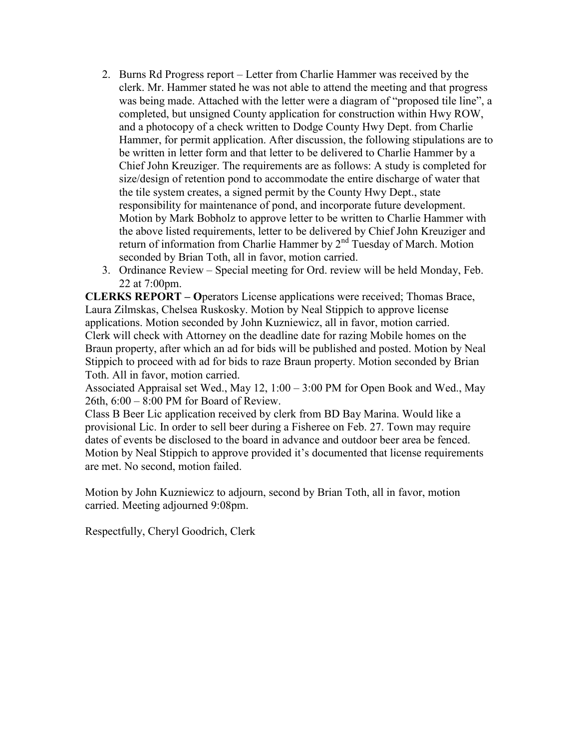- 2. Burns Rd Progress report Letter from Charlie Hammer was received by the clerk. Mr. Hammer stated he was not able to attend the meeting and that progress was being made. Attached with the letter were a diagram of "proposed tile line", a completed, but unsigned County application for construction within Hwy ROW, and a photocopy of a check written to Dodge County Hwy Dept. from Charlie Hammer, for permit application. After discussion, the following stipulations are to be written in letter form and that letter to be delivered to Charlie Hammer by a Chief John Kreuziger. The requirements are as follows: A study is completed for size/design of retention pond to accommodate the entire discharge of water that the tile system creates, a signed permit by the County Hwy Dept., state responsibility for maintenance of pond, and incorporate future development. Motion by Mark Bobholz to approve letter to be written to Charlie Hammer with the above listed requirements, letter to be delivered by Chief John Kreuziger and return of information from Charlie Hammer by 2<sup>nd</sup> Tuesday of March. Motion seconded by Brian Toth, all in favor, motion carried.
- 3. Ordinance Review Special meeting for Ord. review will be held Monday, Feb. 22 at 7:00pm.

**CLERKS REPORT – O**perators License applications were received; Thomas Brace, Laura Zilmskas, Chelsea Ruskosky. Motion by Neal Stippich to approve license applications. Motion seconded by John Kuzniewicz, all in favor, motion carried. Clerk will check with Attorney on the deadline date for razing Mobile homes on the Braun property, after which an ad for bids will be published and posted. Motion by Neal Stippich to proceed with ad for bids to raze Braun property. Motion seconded by Brian Toth. All in favor, motion carried.

Associated Appraisal set Wed., May  $12, 1:00 - 3:00$  PM for Open Book and Wed., May 26th, 6:00 – 8:00 PM for Board of Review.

Class B Beer Lic application received by clerk from BD Bay Marina. Would like a provisional Lic. In order to sell beer during a Fisheree on Feb. 27. Town may require dates of events be disclosed to the board in advance and outdoor beer area be fenced. Motion by Neal Stippich to approve provided it's documented that license requirements are met. No second, motion failed.

Motion by John Kuzniewicz to adjourn, second by Brian Toth, all in favor, motion carried. Meeting adjourned 9:08pm.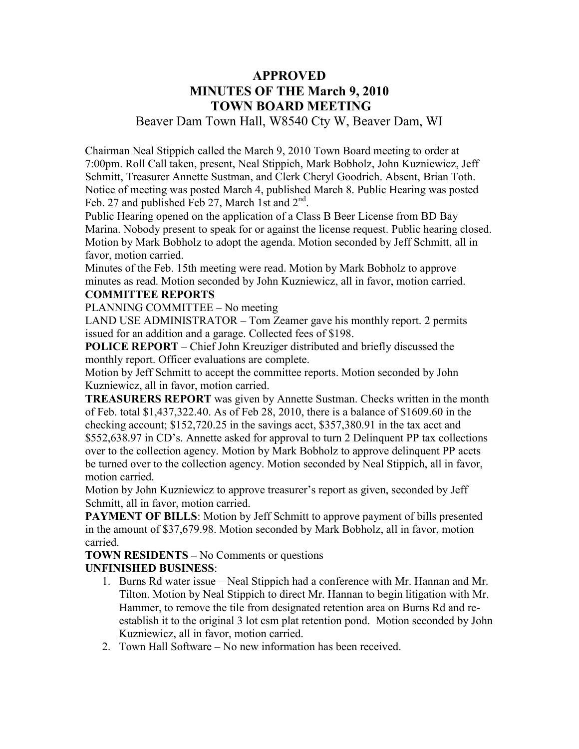# **APPROVED MINUTES OF THE March 9, 2010 TOWN BOARD MEETING**

Beaver Dam Town Hall, W8540 Cty W, Beaver Dam, WI

Chairman Neal Stippich called the March 9, 2010 Town Board meeting to order at 7:00pm. Roll Call taken, present, Neal Stippich, Mark Bobholz, John Kuzniewicz, Jeff Schmitt, Treasurer Annette Sustman, and Clerk Cheryl Goodrich. Absent, Brian Toth. Notice of meeting was posted March 4, published March 8. Public Hearing was posted Feb. 27 and published Feb 27, March 1st and  $2<sup>nd</sup>$ .

Public Hearing opened on the application of a Class B Beer License from BD Bay Marina. Nobody present to speak for or against the license request. Public hearing closed. Motion by Mark Bobholz to adopt the agenda. Motion seconded by Jeff Schmitt, all in favor, motion carried.

Minutes of the Feb. 15th meeting were read. Motion by Mark Bobholz to approve minutes as read. Motion seconded by John Kuzniewicz, all in favor, motion carried.

#### **COMMITTEE REPORTS**

PLANNING COMMITTEE – No meeting

LAND USE ADMINISTRATOR – Tom Zeamer gave his monthly report. 2 permits issued for an addition and a garage. Collected fees of \$198.

**POLICE REPORT** – Chief John Kreuziger distributed and briefly discussed the monthly report. Officer evaluations are complete.

Motion by Jeff Schmitt to accept the committee reports. Motion seconded by John Kuzniewicz, all in favor, motion carried.

**TREASURERS REPORT** was given by Annette Sustman. Checks written in the month of Feb. total \$1,437,322.40. As of Feb 28, 2010, there is a balance of \$1609.60 in the checking account; \$152,720.25 in the savings acct, \$357,380.91 in the tax acct and \$552,638.97 in CD's. Annette asked for approval to turn 2 Delinquent PP tax collections over to the collection agency. Motion by Mark Bobholz to approve delinquent PP accts be turned over to the collection agency. Motion seconded by Neal Stippich, all in favor, motion carried.

Motion by John Kuzniewicz to approve treasurer's report as given, seconded by Jeff Schmitt, all in favor, motion carried.

**PAYMENT OF BILLS:** Motion by Jeff Schmitt to approve payment of bills presented in the amount of \$37,679.98. Motion seconded by Mark Bobholz, all in favor, motion carried.

**TOWN RESIDENTS –** No Comments or questions **UNFINISHED BUSINESS**:

- 1. Burns Rd water issue Neal Stippich had a conference with Mr. Hannan and Mr. Tilton. Motion by Neal Stippich to direct Mr. Hannan to begin litigation with Mr. Hammer, to remove the tile from designated retention area on Burns Rd and reestablish it to the original 3 lot csm plat retention pond. Motion seconded by John Kuzniewicz, all in favor, motion carried.
- 2. Town Hall Software No new information has been received.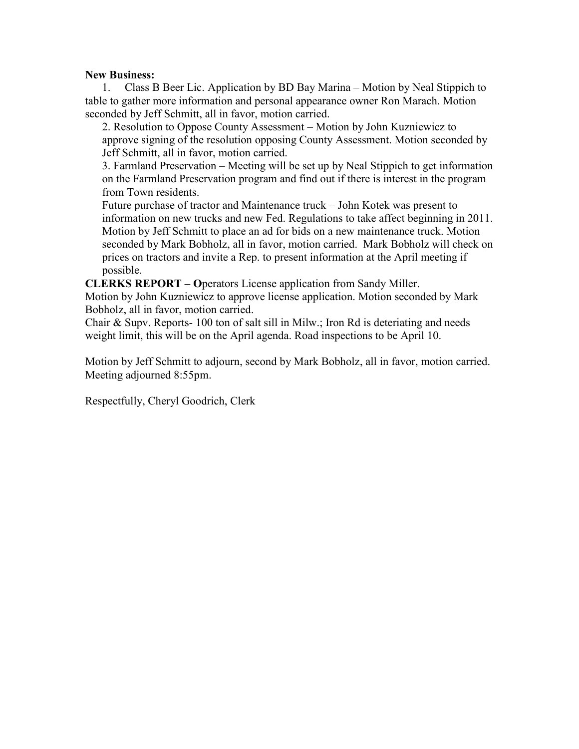#### **New Business:**

1. Class B Beer Lic. Application by BD Bay Marina – Motion by Neal Stippich to table to gather more information and personal appearance owner Ron Marach. Motion seconded by Jeff Schmitt, all in favor, motion carried.

2. Resolution to Oppose County Assessment – Motion by John Kuzniewicz to approve signing of the resolution opposing County Assessment. Motion seconded by Jeff Schmitt, all in favor, motion carried.

3. Farmland Preservation – Meeting will be set up by Neal Stippich to get information on the Farmland Preservation program and find out if there is interest in the program from Town residents.

Future purchase of tractor and Maintenance truck – John Kotek was present to information on new trucks and new Fed. Regulations to take affect beginning in 2011. Motion by Jeff Schmitt to place an ad for bids on a new maintenance truck. Motion seconded by Mark Bobholz, all in favor, motion carried. Mark Bobholz will check on prices on tractors and invite a Rep. to present information at the April meeting if possible.

**CLERKS REPORT – O**perators License application from Sandy Miller.

Motion by John Kuzniewicz to approve license application. Motion seconded by Mark Bobholz, all in favor, motion carried.

Chair & Supv. Reports- 100 ton of salt sill in Milw.; Iron Rd is deteriating and needs weight limit, this will be on the April agenda. Road inspections to be April 10.

Motion by Jeff Schmitt to adjourn, second by Mark Bobholz, all in favor, motion carried. Meeting adjourned 8:55pm.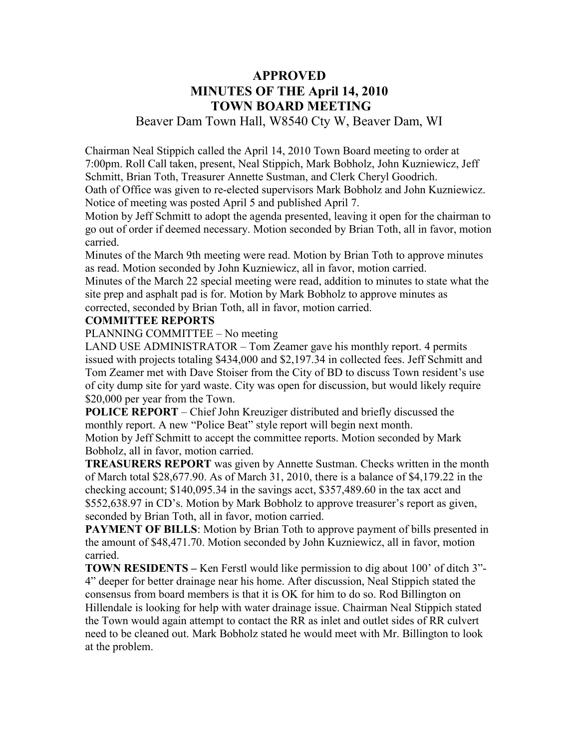# **APPROVED MINUTES OF THE April 14, 2010 TOWN BOARD MEETING**

Beaver Dam Town Hall, W8540 Cty W, Beaver Dam, WI

Chairman Neal Stippich called the April 14, 2010 Town Board meeting to order at 7:00pm. Roll Call taken, present, Neal Stippich, Mark Bobholz, John Kuzniewicz, Jeff Schmitt, Brian Toth, Treasurer Annette Sustman, and Clerk Cheryl Goodrich. Oath of Office was given to re-elected supervisors Mark Bobholz and John Kuzniewicz.

Notice of meeting was posted April 5 and published April 7.

Motion by Jeff Schmitt to adopt the agenda presented, leaving it open for the chairman to go out of order if deemed necessary. Motion seconded by Brian Toth, all in favor, motion carried.

Minutes of the March 9th meeting were read. Motion by Brian Toth to approve minutes as read. Motion seconded by John Kuzniewicz, all in favor, motion carried.

Minutes of the March 22 special meeting were read, addition to minutes to state what the site prep and asphalt pad is for. Motion by Mark Bobholz to approve minutes as corrected, seconded by Brian Toth, all in favor, motion carried.

#### **COMMITTEE REPORTS**

PLANNING COMMITTEE – No meeting

LAND USE ADMINISTRATOR – Tom Zeamer gave his monthly report. 4 permits issued with projects totaling \$434,000 and \$2,197.34 in collected fees. Jeff Schmitt and Tom Zeamer met with Dave Stoiser from the City of BD to discuss Town resident's use of city dump site for yard waste. City was open for discussion, but would likely require \$20,000 per year from the Town.

**POLICE REPORT** – Chief John Kreuziger distributed and briefly discussed the monthly report. A new "Police Beat" style report will begin next month.

Motion by Jeff Schmitt to accept the committee reports. Motion seconded by Mark Bobholz, all in favor, motion carried.

**TREASURERS REPORT** was given by Annette Sustman. Checks written in the month of March total \$28,677.90. As of March 31, 2010, there is a balance of \$4,179.22 in the checking account; \$140,095.34 in the savings acct, \$357,489.60 in the tax acct and \$552,638.97 in CD's. Motion by Mark Bobholz to approve treasurer's report as given, seconded by Brian Toth, all in favor, motion carried.

**PAYMENT OF BILLS:** Motion by Brian Toth to approve payment of bills presented in the amount of \$48,471.70. Motion seconded by John Kuzniewicz, all in favor, motion carried.

**TOWN RESIDENTS** – Ken Ferstl would like permission to dig about 100' of ditch 3"-4" deeper for better drainage near his home. After discussion, Neal Stippich stated the consensus from board members is that it is OK for him to do so. Rod Billington on Hillendale is looking for help with water drainage issue. Chairman Neal Stippich stated the Town would again attempt to contact the RR as inlet and outlet sides of RR culvert need to be cleaned out. Mark Bobholz stated he would meet with Mr. Billington to look at the problem.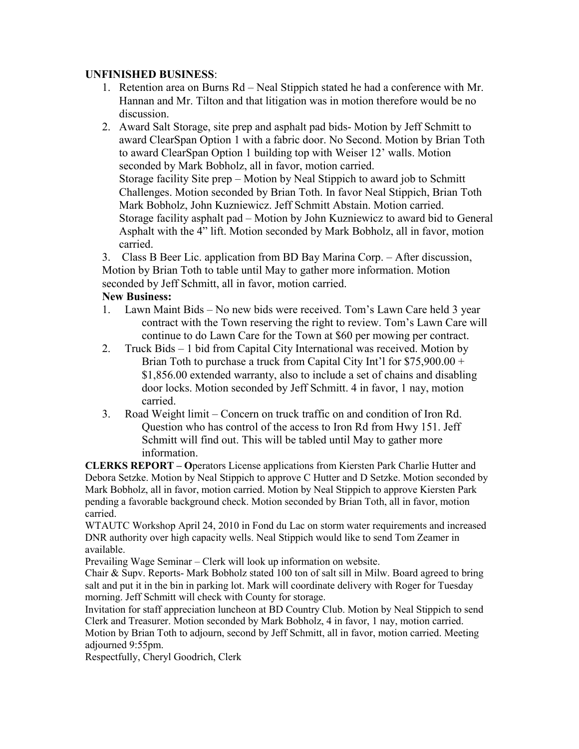#### **UNFINISHED BUSINESS**:

- 1. Retention area on Burns Rd Neal Stippich stated he had a conference with Mr. Hannan and Mr. Tilton and that litigation was in motion therefore would be no discussion.
- 2. Award Salt Storage, site prep and asphalt pad bids- Motion by Jeff Schmitt to award ClearSpan Option 1 with a fabric door. No Second. Motion by Brian Toth to award ClearSpan Option 1 building top with Weiser 12' walls. Motion seconded by Mark Bobholz, all in favor, motion carried. Storage facility Site prep – Motion by Neal Stippich to award job to Schmitt Challenges. Motion seconded by Brian Toth. In favor Neal Stippich, Brian Toth Mark Bobholz, John Kuzniewicz. Jeff Schmitt Abstain. Motion carried. Storage facility asphalt pad – Motion by John Kuzniewicz to award bid to General Asphalt with the 4" lift. Motion seconded by Mark Bobholz, all in favor, motion carried.

3. Class B Beer Lic. application from BD Bay Marina Corp. – After discussion, Motion by Brian Toth to table until May to gather more information. Motion seconded by Jeff Schmitt, all in favor, motion carried.

#### **New Business:**

- 1. Lawn Maint Bids No new bids were received. Tom's Lawn Care held 3 year contract with the Town reserving the right to review. Tom's Lawn Care will continue to do Lawn Care for the Town at \$60 per mowing per contract.
- 2. Truck Bids 1 bid from Capital City International was received. Motion by Brian Toth to purchase a truck from Capital City Int'l for \$75,900.00 + \$1,856.00 extended warranty, also to include a set of chains and disabling door locks. Motion seconded by Jeff Schmitt. 4 in favor, 1 nay, motion carried.
- 3. Road Weight limit Concern on truck traffic on and condition of Iron Rd. Question who has control of the access to Iron Rd from Hwy 151. Jeff Schmitt will find out. This will be tabled until May to gather more information.

**CLERKS REPORT – O**perators License applications from Kiersten Park Charlie Hutter and Debora Setzke. Motion by Neal Stippich to approve C Hutter and D Setzke. Motion seconded by Mark Bobholz, all in favor, motion carried. Motion by Neal Stippich to approve Kiersten Park pending a favorable background check. Motion seconded by Brian Toth, all in favor, motion carried.

WTAUTC Workshop April 24, 2010 in Fond du Lac on storm water requirements and increased DNR authority over high capacity wells. Neal Stippich would like to send Tom Zeamer in available.

Prevailing Wage Seminar – Clerk will look up information on website.

Chair & Supv. Reports- Mark Bobholz stated 100 ton of salt sill in Milw. Board agreed to bring salt and put it in the bin in parking lot. Mark will coordinate delivery with Roger for Tuesday morning. Jeff Schmitt will check with County for storage.

Invitation for staff appreciation luncheon at BD Country Club. Motion by Neal Stippich to send Clerk and Treasurer. Motion seconded by Mark Bobholz, 4 in favor, 1 nay, motion carried. Motion by Brian Toth to adjourn, second by Jeff Schmitt, all in favor, motion carried. Meeting adjourned 9:55pm.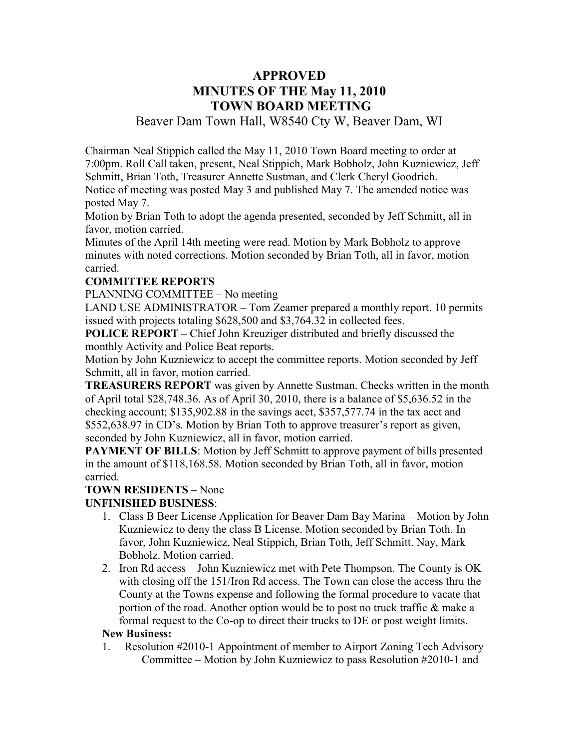# **APPROVED MINUTES OF THE May 11, 2010 TOWN BOARD MEETING**

### Beaver Dam Town Hall, W8540 Cty W, Beaver Dam, WI

Chairman Neal Stippich called the May 11, 2010 Town Board meeting to order at 7:00pm. Roll Call taken, present, Neal Stippich, Mark Bobholz, John Kuzniewicz, Jeff Schmitt, Brian Toth, Treasurer Annette Sustman, and Clerk Cheryl Goodrich. Notice of meeting was posted May 3 and published May 7. The amended notice was posted May 7.

Motion by Brian Toth to adopt the agenda presented, seconded by Jeff Schmitt, all in favor, motion carried.

Minutes of the April 14th meeting were read. Motion by Mark Bobholz to approve minutes with noted corrections. Motion seconded by Brian Toth, all in favor, motion carried.

#### **COMMITTEE REPORTS**

PLANNING COMMITTEE – No meeting

LAND USE ADMINISTRATOR – Tom Zeamer prepared a monthly report. 10 permits issued with projects totaling \$628,500 and \$3,764.32 in collected fees.

**POLICE REPORT** – Chief John Kreuziger distributed and briefly discussed the monthly Activity and Police Beat reports.

Motion by John Kuzniewicz to accept the committee reports. Motion seconded by Jeff Schmitt, all in favor, motion carried.

**TREASURERS REPORT** was given by Annette Sustman. Checks written in the month of April total \$28,748.36. As of April 30, 2010, there is a balance of \$5,636.52 in the checking account; \$135,902.88 in the savings acct, \$357,577.74 in the tax acct and \$552,638.97 in CD's. Motion by Brian Toth to approve treasurer's report as given, seconded by John Kuzniewicz, all in favor, motion carried.

**PAYMENT OF BILLS:** Motion by Jeff Schmitt to approve payment of bills presented in the amount of \$118,168.58. Motion seconded by Brian Toth, all in favor, motion carried.

#### **TOWN RESIDENTS –** None

#### **UNFINISHED BUSINESS**:

- 1. Class B Beer License Application for Beaver Dam Bay Marina Motion by John Kuzniewicz to deny the class B License. Motion seconded by Brian Toth. In favor, John Kuzniewicz, Neal Stippich, Brian Toth, Jeff Schmitt. Nay, Mark Bobholz. Motion carried.
- 2. Iron Rd access John Kuzniewicz met with Pete Thompson. The County is OK with closing off the 151/Iron Rd access. The Town can close the access thru the County at the Towns expense and following the formal procedure to vacate that portion of the road. Another option would be to post no truck traffic & make a formal request to the Co-op to direct their trucks to DE or post weight limits.

#### **New Business:**

1. Resolution #2010-1 Appointment of member to Airport Zoning Tech Advisory Committee – Motion by John Kuzniewicz to pass Resolution #2010-1 and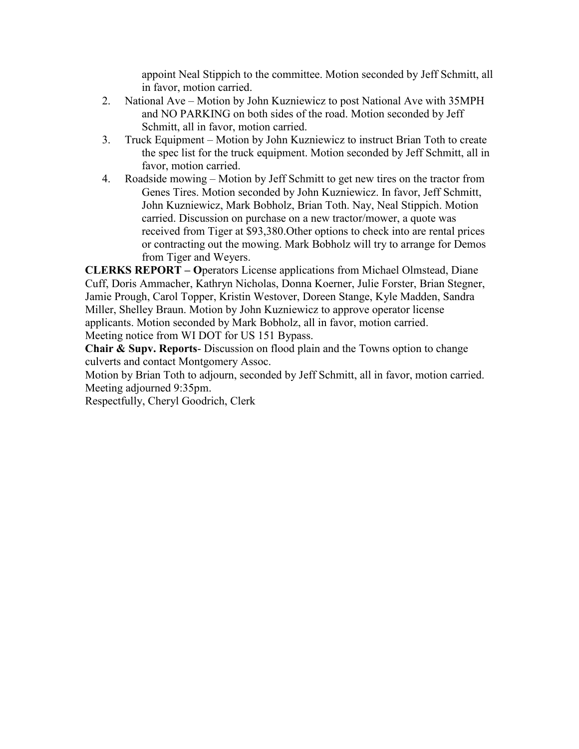appoint Neal Stippich to the committee. Motion seconded by Jeff Schmitt, all in favor, motion carried.

- 2. National Ave Motion by John Kuzniewicz to post National Ave with 35MPH and NO PARKING on both sides of the road. Motion seconded by Jeff Schmitt, all in favor, motion carried.
- 3. Truck Equipment Motion by John Kuzniewicz to instruct Brian Toth to create the spec list for the truck equipment. Motion seconded by Jeff Schmitt, all in favor, motion carried.
- 4. Roadside mowing Motion by Jeff Schmitt to get new tires on the tractor from Genes Tires. Motion seconded by John Kuzniewicz. In favor, Jeff Schmitt, John Kuzniewicz, Mark Bobholz, Brian Toth. Nay, Neal Stippich. Motion carried. Discussion on purchase on a new tractor/mower, a quote was received from Tiger at \$93,380.Other options to check into are rental prices or contracting out the mowing. Mark Bobholz will try to arrange for Demos from Tiger and Weyers.

**CLERKS REPORT – O**perators License applications from Michael Olmstead, Diane Cuff, Doris Ammacher, Kathryn Nicholas, Donna Koerner, Julie Forster, Brian Stegner, Jamie Prough, Carol Topper, Kristin Westover, Doreen Stange, Kyle Madden, Sandra Miller, Shelley Braun. Motion by John Kuzniewicz to approve operator license applicants. Motion seconded by Mark Bobholz, all in favor, motion carried. Meeting notice from WI DOT for US 151 Bypass.

**Chair & Supv. Reports**- Discussion on flood plain and the Towns option to change culverts and contact Montgomery Assoc.

Motion by Brian Toth to adjourn, seconded by Jeff Schmitt, all in favor, motion carried. Meeting adjourned 9:35pm.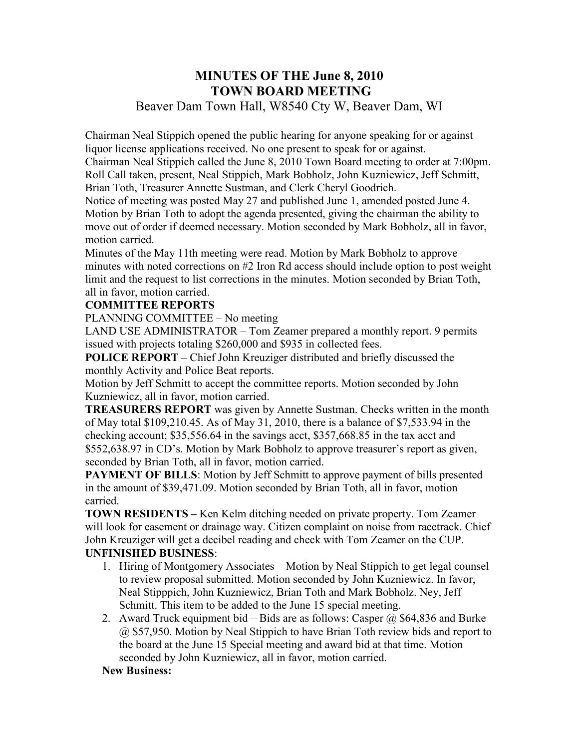# **MINUTES OF THE June 8, 2010 TOWN BOARD MEETING**

### Beaver Dam Town Hall, W8540 Cty W, Beaver Dam, WI

Chairman Neal Stippich opened the public hearing for anyone speaking for or against liquor license applications received. No one present to speak for or against. Chairman Neal Stippich called the June 8, 2010 Town Board meeting to order at 7:00pm. Roll Call taken, present, Neal Stippich, Mark Bobholz, John Kuzniewicz, Jeff Schmitt, Brian Toth, Treasurer Annette Sustman, and Clerk Cheryl Goodrich.

Notice of meeting was posted May 27 and published June 1, amended posted June 4. Motion by Brian Toth to adopt the agenda presented, giving the chairman the ability to move out of order if deemed necessary. Motion seconded by Mark Bobholz, all in favor, motion carried.

Minutes of the May 11th meeting were read. Motion by Mark Bobholz to approve minutes with noted corrections on #2 Iron Rd access should include option to post weight limit and the request to list corrections in the minutes. Motion seconded by Brian Toth, all in favor, motion carried.

#### **COMMITTEE REPORTS**

PLANNING COMMITTEE – No meeting

LAND USE ADMINISTRATOR – Tom Zeamer prepared a monthly report. 9 permits issued with projects totaling \$260,000 and \$935 in collected fees.

**POLICE REPORT** – Chief John Kreuziger distributed and briefly discussed the monthly Activity and Police Beat reports.

Motion by Jeff Schmitt to accept the committee reports. Motion seconded by John Kuzniewicz, all in favor, motion carried.

**TREASURERS REPORT** was given by Annette Sustman. Checks written in the month of May total \$109,210.45. As of May 31, 2010, there is a balance of \$7,533.94 in the checking account; \$35,556.64 in the savings acct, \$357,668.85 in the tax acct and \$552,638.97 in CD's. Motion by Mark Bobholz to approve treasurer's report as given, seconded by Brian Toth, all in favor, motion carried.

**PAYMENT OF BILLS:** Motion by Jeff Schmitt to approve payment of bills presented in the amount of \$39,471.09. Motion seconded by Brian Toth, all in favor, motion carried.

**TOWN RESIDENTS –** Ken Kelm ditching needed on private property. Tom Zeamer will look for easement or drainage way. Citizen complaint on noise from racetrack. Chief John Kreuziger will get a decibel reading and check with Tom Zeamer on the CUP. **UNFINISHED BUSINESS**:

- 1. Hiring of Montgomery Associates Motion by Neal Stippich to get legal counsel to review proposal submitted. Motion seconded by John Kuzniewicz. In favor, Neal Stipppich, John Kuzniewicz, Brian Toth and Mark Bobholz. Ney, Jeff Schmitt. This item to be added to the June 15 special meeting.
- 2. Award Truck equipment bid Bids are as follows: Casper  $\omega$  \$64,836 and Burke @ \$57,950. Motion by Neal Stippich to have Brian Toth review bids and report to the board at the June 15 Special meeting and award bid at that time. Motion seconded by John Kuzniewicz, all in favor, motion carried.

#### **New Business:**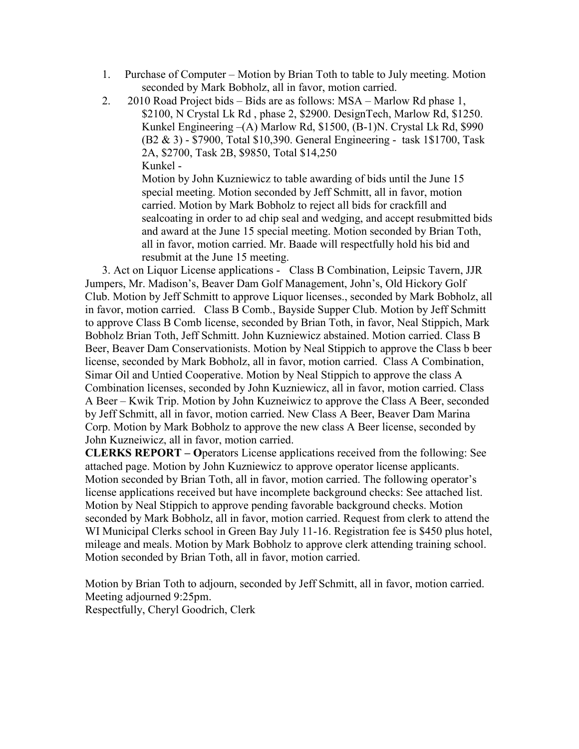- 1. Purchase of Computer Motion by Brian Toth to table to July meeting. Motion seconded by Mark Bobholz, all in favor, motion carried.
- 2. 2010 Road Project bids Bids are as follows: MSA Marlow Rd phase 1, \$2100, N Crystal Lk Rd , phase 2, \$2900. DesignTech, Marlow Rd, \$1250. Kunkel Engineering –(A) Marlow Rd, \$1500, (B-1)N. Crystal Lk Rd, \$990 (B2 & 3) - \$7900, Total \$10,390. General Engineering - task 1\$1700, Task 2A, \$2700, Task 2B, \$9850, Total \$14,250 Kunkel -

Motion by John Kuzniewicz to table awarding of bids until the June 15 special meeting. Motion seconded by Jeff Schmitt, all in favor, motion carried. Motion by Mark Bobholz to reject all bids for crackfill and sealcoating in order to ad chip seal and wedging, and accept resubmitted bids and award at the June 15 special meeting. Motion seconded by Brian Toth, all in favor, motion carried. Mr. Baade will respectfully hold his bid and resubmit at the June 15 meeting.

 3. Act on Liquor License applications - Class B Combination, Leipsic Tavern, JJR Jumpers, Mr. Madison's, Beaver Dam Golf Management, John's, Old Hickory Golf Club. Motion by Jeff Schmitt to approve Liquor licenses., seconded by Mark Bobholz, all in favor, motion carried. Class B Comb., Bayside Supper Club. Motion by Jeff Schmitt to approve Class B Comb license, seconded by Brian Toth, in favor, Neal Stippich, Mark Bobholz Brian Toth, Jeff Schmitt. John Kuzniewicz abstained. Motion carried. Class B Beer, Beaver Dam Conservationists. Motion by Neal Stippich to approve the Class b beer license, seconded by Mark Bobholz, all in favor, motion carried. Class A Combination, Simar Oil and Untied Cooperative. Motion by Neal Stippich to approve the class A Combination licenses, seconded by John Kuzniewicz, all in favor, motion carried. Class A Beer – Kwik Trip. Motion by John Kuzneiwicz to approve the Class A Beer, seconded by Jeff Schmitt, all in favor, motion carried. New Class A Beer, Beaver Dam Marina Corp. Motion by Mark Bobholz to approve the new class A Beer license, seconded by John Kuzneiwicz, all in favor, motion carried.

**CLERKS REPORT – O**perators License applications received from the following: See attached page. Motion by John Kuzniewicz to approve operator license applicants. Motion seconded by Brian Toth, all in favor, motion carried. The following operator's license applications received but have incomplete background checks: See attached list. Motion by Neal Stippich to approve pending favorable background checks. Motion seconded by Mark Bobholz, all in favor, motion carried. Request from clerk to attend the WI Municipal Clerks school in Green Bay July 11-16. Registration fee is \$450 plus hotel, mileage and meals. Motion by Mark Bobholz to approve clerk attending training school. Motion seconded by Brian Toth, all in favor, motion carried.

Motion by Brian Toth to adjourn, seconded by Jeff Schmitt, all in favor, motion carried. Meeting adjourned 9:25pm.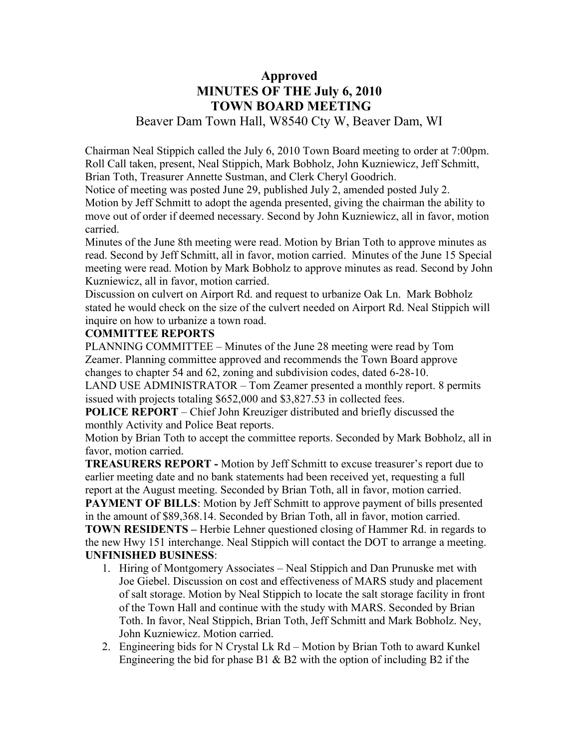# **Approved MINUTES OF THE July 6, 2010 TOWN BOARD MEETING**

### Beaver Dam Town Hall, W8540 Cty W, Beaver Dam, WI

Chairman Neal Stippich called the July 6, 2010 Town Board meeting to order at 7:00pm. Roll Call taken, present, Neal Stippich, Mark Bobholz, John Kuzniewicz, Jeff Schmitt, Brian Toth, Treasurer Annette Sustman, and Clerk Cheryl Goodrich.

Notice of meeting was posted June 29, published July 2, amended posted July 2.

Motion by Jeff Schmitt to adopt the agenda presented, giving the chairman the ability to move out of order if deemed necessary. Second by John Kuzniewicz, all in favor, motion carried.

Minutes of the June 8th meeting were read. Motion by Brian Toth to approve minutes as read. Second by Jeff Schmitt, all in favor, motion carried. Minutes of the June 15 Special meeting were read. Motion by Mark Bobholz to approve minutes as read. Second by John Kuzniewicz, all in favor, motion carried.

Discussion on culvert on Airport Rd. and request to urbanize Oak Ln. Mark Bobholz stated he would check on the size of the culvert needed on Airport Rd. Neal Stippich will inquire on how to urbanize a town road.

#### **COMMITTEE REPORTS**

PLANNING COMMITTEE – Minutes of the June 28 meeting were read by Tom Zeamer. Planning committee approved and recommends the Town Board approve changes to chapter 54 and 62, zoning and subdivision codes, dated 6-28-10.

LAND USE ADMINISTRATOR – Tom Zeamer presented a monthly report. 8 permits issued with projects totaling \$652,000 and \$3,827.53 in collected fees.

**POLICE REPORT** – Chief John Kreuziger distributed and briefly discussed the monthly Activity and Police Beat reports.

Motion by Brian Toth to accept the committee reports. Seconded by Mark Bobholz, all in favor, motion carried.

**TREASURERS REPORT -** Motion by Jeff Schmitt to excuse treasurer's report due to earlier meeting date and no bank statements had been received yet, requesting a full report at the August meeting. Seconded by Brian Toth, all in favor, motion carried.

**PAYMENT OF BILLS:** Motion by Jeff Schmitt to approve payment of bills presented in the amount of \$89,368.14. Seconded by Brian Toth, all in favor, motion carried. **TOWN RESIDENTS –** Herbie Lehner questioned closing of Hammer Rd. in regards to

the new Hwy 151 interchange. Neal Stippich will contact the DOT to arrange a meeting. **UNFINISHED BUSINESS**:

- 1. Hiring of Montgomery Associates Neal Stippich and Dan Prunuske met with Joe Giebel. Discussion on cost and effectiveness of MARS study and placement of salt storage. Motion by Neal Stippich to locate the salt storage facility in front of the Town Hall and continue with the study with MARS. Seconded by Brian Toth. In favor, Neal Stippich, Brian Toth, Jeff Schmitt and Mark Bobholz. Ney, John Kuzniewicz. Motion carried.
- 2. Engineering bids for N Crystal Lk Rd Motion by Brian Toth to award Kunkel Engineering the bid for phase B1  $\&$  B2 with the option of including B2 if the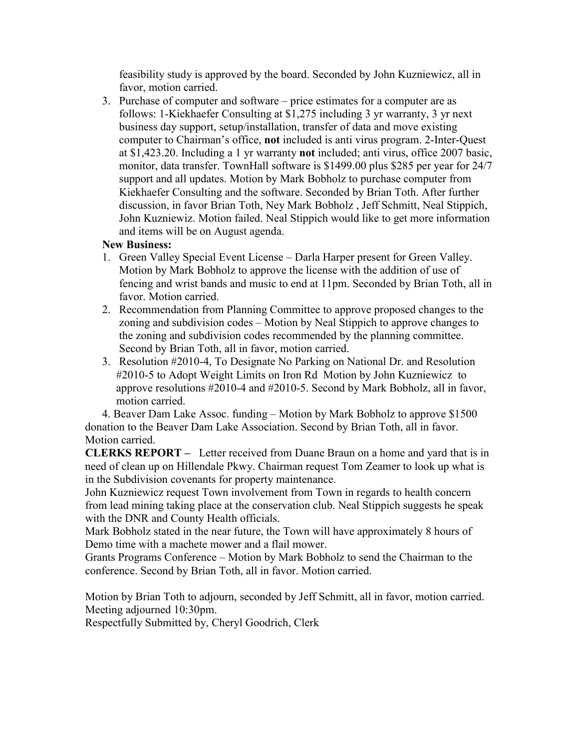feasibility study is approved by the board. Seconded by John Kuzniewicz, all in favor, motion carried.

3. Purchase of computer and software – price estimates for a computer are as follows: 1-Kiekhaefer Consulting at \$1,275 including 3 yr warranty, 3 yr next business day support, setup/installation, transfer of data and move existing computer to Chairman's office, **not** included is anti virus program. 2-Inter-Quest at \$1,423.20. Including a 1 yr warranty **not** included; anti virus, office 2007 basic, monitor, data transfer. TownHall software is \$1499.00 plus \$285 per year for 24/7 support and all updates. Motion by Mark Bobholz to purchase computer from Kiekhaefer Consulting and the software. Seconded by Brian Toth. After further discussion, in favor Brian Toth, Ney Mark Bobholz , Jeff Schmitt, Neal Stippich, John Kuzniewiz. Motion failed. Neal Stippich would like to get more information and items will be on August agenda.

#### **New Business:**

- 1. Green Valley Special Event License Darla Harper present for Green Valley. Motion by Mark Bobholz to approve the license with the addition of use of fencing and wrist bands and music to end at 11pm. Seconded by Brian Toth, all in favor. Motion carried.
- 2. Recommendation from Planning Committee to approve proposed changes to the zoning and subdivision codes – Motion by Neal Stippich to approve changes to the zoning and subdivision codes recommended by the planning committee. Second by Brian Toth, all in favor, motion carried.
- 3. Resolution #2010-4, To Designate No Parking on National Dr. and Resolution #2010-5 to Adopt Weight Limits on Iron Rd Motion by John Kuzniewicz to approve resolutions #2010-4 and #2010-5. Second by Mark Bobholz, all in favor, motion carried.

 4. Beaver Dam Lake Assoc. funding – Motion by Mark Bobholz to approve \$1500 donation to the Beaver Dam Lake Association. Second by Brian Toth, all in favor. Motion carried.

**CLERKS REPORT –** Letter received from Duane Braun on a home and yard that is in need of clean up on Hillendale Pkwy. Chairman request Tom Zeamer to look up what is in the Subdivision covenants for property maintenance.

John Kuzniewicz request Town involvement from Town in regards to health concern from lead mining taking place at the conservation club. Neal Stippich suggests he speak with the DNR and County Health officials.

Mark Bobholz stated in the near future, the Town will have approximately 8 hours of Demo time with a machete mower and a flail mower.

Grants Programs Conference – Motion by Mark Bobholz to send the Chairman to the conference. Second by Brian Toth, all in favor. Motion carried.

Motion by Brian Toth to adjourn, seconded by Jeff Schmitt, all in favor, motion carried. Meeting adjourned 10:30pm.

Respectfully Submitted by, Cheryl Goodrich, Clerk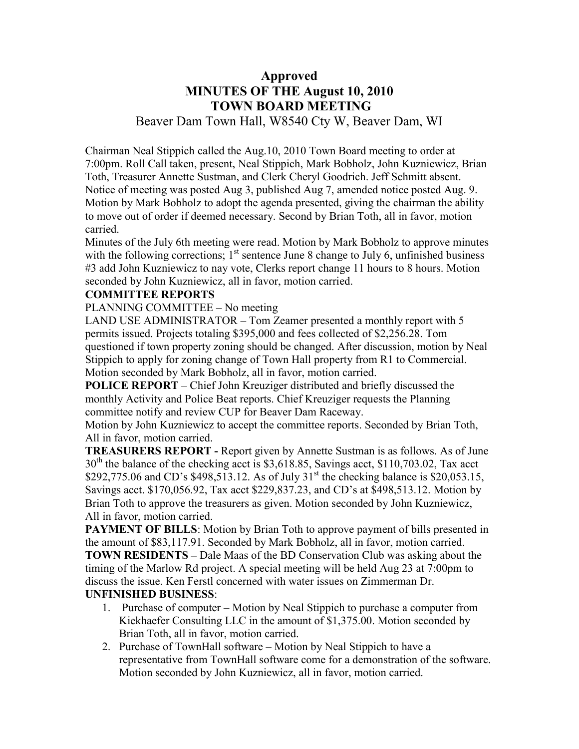# **Approved MINUTES OF THE August 10, 2010 TOWN BOARD MEETING**

Beaver Dam Town Hall, W8540 Cty W, Beaver Dam, WI

Chairman Neal Stippich called the Aug.10, 2010 Town Board meeting to order at 7:00pm. Roll Call taken, present, Neal Stippich, Mark Bobholz, John Kuzniewicz, Brian Toth, Treasurer Annette Sustman, and Clerk Cheryl Goodrich. Jeff Schmitt absent. Notice of meeting was posted Aug 3, published Aug 7, amended notice posted Aug. 9. Motion by Mark Bobholz to adopt the agenda presented, giving the chairman the ability to move out of order if deemed necessary. Second by Brian Toth, all in favor, motion carried.

Minutes of the July 6th meeting were read. Motion by Mark Bobholz to approve minutes with the following corrections;  $1<sup>st</sup>$  sentence June 8 change to July 6, unfinished business #3 add John Kuzniewicz to nay vote, Clerks report change 11 hours to 8 hours. Motion seconded by John Kuzniewicz, all in favor, motion carried.

#### **COMMITTEE REPORTS**

PLANNING COMMITTEE – No meeting

LAND USE ADMINISTRATOR – Tom Zeamer presented a monthly report with 5 permits issued. Projects totaling \$395,000 and fees collected of \$2,256.28. Tom questioned if town property zoning should be changed. After discussion, motion by Neal Stippich to apply for zoning change of Town Hall property from R1 to Commercial. Motion seconded by Mark Bobholz, all in favor, motion carried.

**POLICE REPORT** – Chief John Kreuziger distributed and briefly discussed the monthly Activity and Police Beat reports. Chief Kreuziger requests the Planning committee notify and review CUP for Beaver Dam Raceway.

Motion by John Kuzniewicz to accept the committee reports. Seconded by Brian Toth, All in favor, motion carried.

**TREASURERS REPORT -** Report given by Annette Sustman is as follows. As of June  $30<sup>th</sup>$  the balance of the checking acct is \$3,618.85, Savings acct, \$110,703.02, Tax acct \$292,775.06 and CD's \$498,513.12. As of July  $31<sup>st</sup>$  the checking balance is \$20,053.15, Savings acct. \$170,056.92, Tax acct \$229,837.23, and CD's at \$498,513.12. Motion by Brian Toth to approve the treasurers as given. Motion seconded by John Kuzniewicz, All in favor, motion carried.

**PAYMENT OF BILLS:** Motion by Brian Toth to approve payment of bills presented in the amount of \$83,117.91. Seconded by Mark Bobholz, all in favor, motion carried. **TOWN RESIDENTS** – Dale Maas of the BD Conservation Club was asking about the timing of the Marlow Rd project. A special meeting will be held Aug 23 at 7:00pm to discuss the issue. Ken Ferstl concerned with water issues on Zimmerman Dr. **UNFINISHED BUSINESS**:

- 1. Purchase of computer Motion by Neal Stippich to purchase a computer from Kiekhaefer Consulting LLC in the amount of \$1,375.00. Motion seconded by Brian Toth, all in favor, motion carried.
- 2. Purchase of TownHall software Motion by Neal Stippich to have a representative from TownHall software come for a demonstration of the software. Motion seconded by John Kuzniewicz, all in favor, motion carried.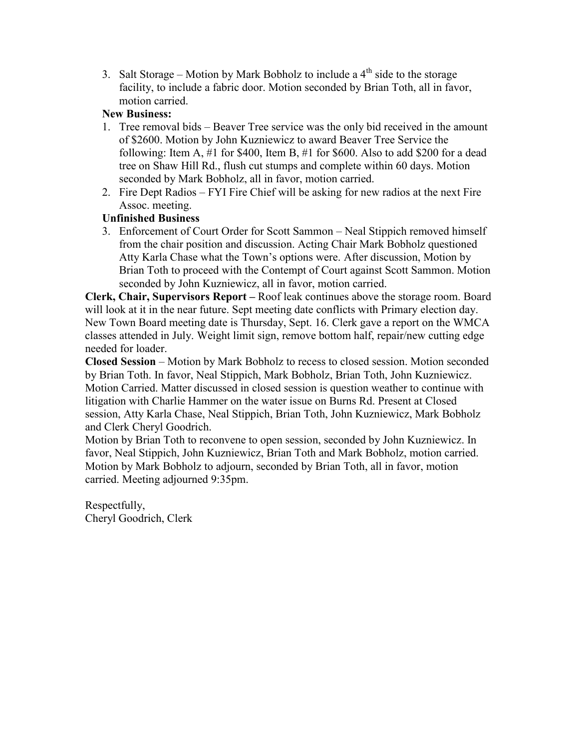3. Salt Storage – Motion by Mark Bobholz to include a  $4<sup>th</sup>$  side to the storage facility, to include a fabric door. Motion seconded by Brian Toth, all in favor, motion carried.

#### **New Business:**

- 1. Tree removal bids Beaver Tree service was the only bid received in the amount of \$2600. Motion by John Kuzniewicz to award Beaver Tree Service the following: Item A, #1 for \$400, Item B, #1 for \$600. Also to add \$200 for a dead tree on Shaw Hill Rd., flush cut stumps and complete within 60 days. Motion seconded by Mark Bobholz, all in favor, motion carried.
- 2. Fire Dept Radios FYI Fire Chief will be asking for new radios at the next Fire Assoc. meeting.

#### **Unfinished Business**

3. Enforcement of Court Order for Scott Sammon – Neal Stippich removed himself from the chair position and discussion. Acting Chair Mark Bobholz questioned Atty Karla Chase what the Town's options were. After discussion, Motion by Brian Toth to proceed with the Contempt of Court against Scott Sammon. Motion seconded by John Kuzniewicz, all in favor, motion carried.

**Clerk, Chair, Supervisors Report –** Roof leak continues above the storage room. Board will look at it in the near future. Sept meeting date conflicts with Primary election day. New Town Board meeting date is Thursday, Sept. 16. Clerk gave a report on the WMCA classes attended in July. Weight limit sign, remove bottom half, repair/new cutting edge needed for loader.

**Closed Session** – Motion by Mark Bobholz to recess to closed session. Motion seconded by Brian Toth. In favor, Neal Stippich, Mark Bobholz, Brian Toth, John Kuzniewicz. Motion Carried. Matter discussed in closed session is question weather to continue with litigation with Charlie Hammer on the water issue on Burns Rd. Present at Closed session, Atty Karla Chase, Neal Stippich, Brian Toth, John Kuzniewicz, Mark Bobholz and Clerk Cheryl Goodrich.

Motion by Brian Toth to reconvene to open session, seconded by John Kuzniewicz. In favor, Neal Stippich, John Kuzniewicz, Brian Toth and Mark Bobholz, motion carried. Motion by Mark Bobholz to adjourn, seconded by Brian Toth, all in favor, motion carried. Meeting adjourned 9:35pm.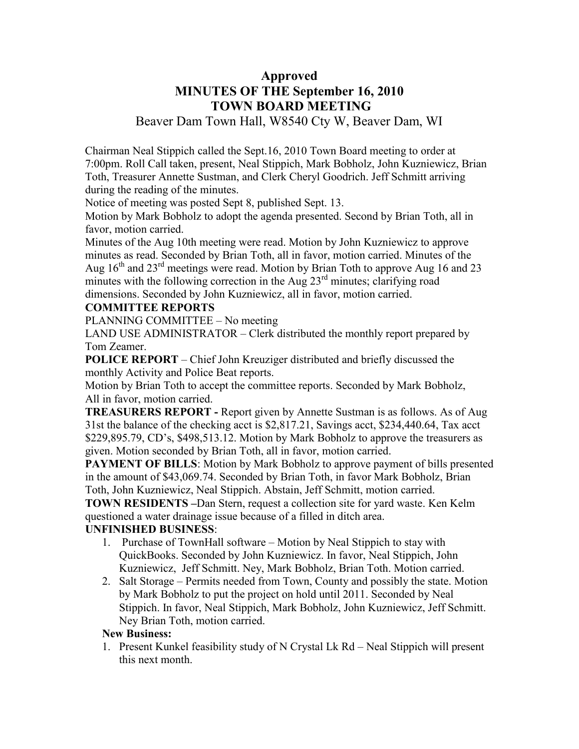# **Approved MINUTES OF THE September 16, 2010 TOWN BOARD MEETING**

Beaver Dam Town Hall, W8540 Cty W, Beaver Dam, WI

Chairman Neal Stippich called the Sept.16, 2010 Town Board meeting to order at 7:00pm. Roll Call taken, present, Neal Stippich, Mark Bobholz, John Kuzniewicz, Brian Toth, Treasurer Annette Sustman, and Clerk Cheryl Goodrich. Jeff Schmitt arriving during the reading of the minutes.

Notice of meeting was posted Sept 8, published Sept. 13.

Motion by Mark Bobholz to adopt the agenda presented. Second by Brian Toth, all in favor, motion carried.

Minutes of the Aug 10th meeting were read. Motion by John Kuzniewicz to approve minutes as read. Seconded by Brian Toth, all in favor, motion carried. Minutes of the Aug  $16<sup>th</sup>$  and  $23<sup>rd</sup>$  meetings were read. Motion by Brian Toth to approve Aug 16 and 23 minutes with the following correction in the Aug  $23<sup>rd</sup>$  minutes; clarifying road dimensions. Seconded by John Kuzniewicz, all in favor, motion carried.

#### **COMMITTEE REPORTS**

PLANNING COMMITTEE – No meeting

LAND USE ADMINISTRATOR – Clerk distributed the monthly report prepared by Tom Zeamer.

**POLICE REPORT** – Chief John Kreuziger distributed and briefly discussed the monthly Activity and Police Beat reports.

Motion by Brian Toth to accept the committee reports. Seconded by Mark Bobholz, All in favor, motion carried.

**TREASURERS REPORT -** Report given by Annette Sustman is as follows. As of Aug 31st the balance of the checking acct is \$2,817.21, Savings acct, \$234,440.64, Tax acct \$229,895.79, CD's, \$498,513.12. Motion by Mark Bobholz to approve the treasurers as given. Motion seconded by Brian Toth, all in favor, motion carried.

**PAYMENT OF BILLS:** Motion by Mark Bobholz to approve payment of bills presented in the amount of \$43,069.74. Seconded by Brian Toth, in favor Mark Bobholz, Brian Toth, John Kuzniewicz, Neal Stippich. Abstain, Jeff Schmitt, motion carried.

**TOWN RESIDENTS –**Dan Stern, request a collection site for yard waste. Ken Kelm questioned a water drainage issue because of a filled in ditch area.

#### **UNFINISHED BUSINESS**:

- 1. Purchase of TownHall software Motion by Neal Stippich to stay with QuickBooks. Seconded by John Kuzniewicz. In favor, Neal Stippich, John Kuzniewicz, Jeff Schmitt. Ney, Mark Bobholz, Brian Toth. Motion carried.
- 2. Salt Storage Permits needed from Town, County and possibly the state. Motion by Mark Bobholz to put the project on hold until 2011. Seconded by Neal Stippich. In favor, Neal Stippich, Mark Bobholz, John Kuzniewicz, Jeff Schmitt. Ney Brian Toth, motion carried.

#### **New Business:**

1. Present Kunkel feasibility study of N Crystal Lk Rd – Neal Stippich will present this next month.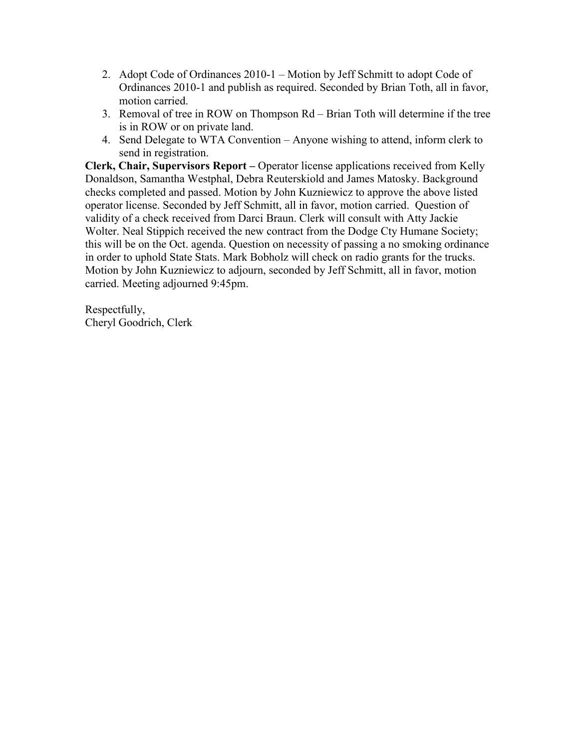- 2. Adopt Code of Ordinances 2010-1 Motion by Jeff Schmitt to adopt Code of Ordinances 2010-1 and publish as required. Seconded by Brian Toth, all in favor, motion carried.
- 3. Removal of tree in ROW on Thompson Rd Brian Toth will determine if the tree is in ROW or on private land.
- 4. Send Delegate to WTA Convention Anyone wishing to attend, inform clerk to send in registration.

**Clerk, Chair, Supervisors Report –** Operator license applications received from Kelly Donaldson, Samantha Westphal, Debra Reuterskiold and James Matosky. Background checks completed and passed. Motion by John Kuzniewicz to approve the above listed operator license. Seconded by Jeff Schmitt, all in favor, motion carried. Question of validity of a check received from Darci Braun. Clerk will consult with Atty Jackie Wolter. Neal Stippich received the new contract from the Dodge Cty Humane Society; this will be on the Oct. agenda. Question on necessity of passing a no smoking ordinance in order to uphold State Stats. Mark Bobholz will check on radio grants for the trucks. Motion by John Kuzniewicz to adjourn, seconded by Jeff Schmitt, all in favor, motion carried. Meeting adjourned 9:45pm.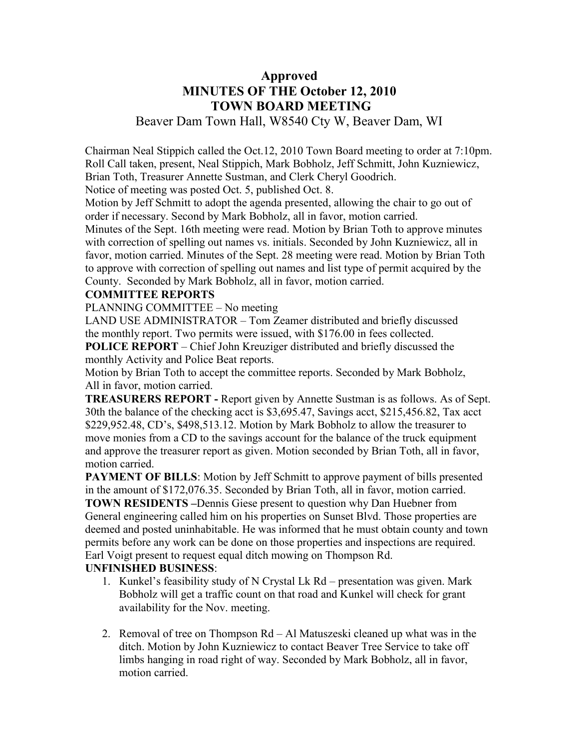# **Approved MINUTES OF THE October 12, 2010 TOWN BOARD MEETING**

### Beaver Dam Town Hall, W8540 Cty W, Beaver Dam, WI

Chairman Neal Stippich called the Oct.12, 2010 Town Board meeting to order at 7:10pm. Roll Call taken, present, Neal Stippich, Mark Bobholz, Jeff Schmitt, John Kuzniewicz, Brian Toth, Treasurer Annette Sustman, and Clerk Cheryl Goodrich.

Notice of meeting was posted Oct. 5, published Oct. 8.

Motion by Jeff Schmitt to adopt the agenda presented, allowing the chair to go out of order if necessary. Second by Mark Bobholz, all in favor, motion carried.

Minutes of the Sept. 16th meeting were read. Motion by Brian Toth to approve minutes with correction of spelling out names vs. initials. Seconded by John Kuzniewicz, all in favor, motion carried. Minutes of the Sept. 28 meeting were read. Motion by Brian Toth to approve with correction of spelling out names and list type of permit acquired by the County. Seconded by Mark Bobholz, all in favor, motion carried.

#### **COMMITTEE REPORTS**

PLANNING COMMITTEE – No meeting

LAND USE ADMINISTRATOR – Tom Zeamer distributed and briefly discussed the monthly report. Two permits were issued, with \$176.00 in fees collected.

**POLICE REPORT** – Chief John Kreuziger distributed and briefly discussed the monthly Activity and Police Beat reports.

Motion by Brian Toth to accept the committee reports. Seconded by Mark Bobholz, All in favor, motion carried.

**TREASURERS REPORT -** Report given by Annette Sustman is as follows. As of Sept. 30th the balance of the checking acct is \$3,695.47, Savings acct, \$215,456.82, Tax acct \$229,952.48, CD's, \$498,513.12. Motion by Mark Bobholz to allow the treasurer to move monies from a CD to the savings account for the balance of the truck equipment and approve the treasurer report as given. Motion seconded by Brian Toth, all in favor, motion carried.

**PAYMENT OF BILLS:** Motion by Jeff Schmitt to approve payment of bills presented in the amount of \$172,076.35. Seconded by Brian Toth, all in favor, motion carried. **TOWN RESIDENTS –**Dennis Giese present to question why Dan Huebner from General engineering called him on his properties on Sunset Blvd. Those properties are deemed and posted uninhabitable. He was informed that he must obtain county and town permits before any work can be done on those properties and inspections are required. Earl Voigt present to request equal ditch mowing on Thompson Rd.

#### **UNFINISHED BUSINESS**:

- 1. Kunkel's feasibility study of N Crystal Lk Rd presentation was given. Mark Bobholz will get a traffic count on that road and Kunkel will check for grant availability for the Nov. meeting.
- 2. Removal of tree on Thompson Rd Al Matuszeski cleaned up what was in the ditch. Motion by John Kuzniewicz to contact Beaver Tree Service to take off limbs hanging in road right of way. Seconded by Mark Bobholz, all in favor, motion carried.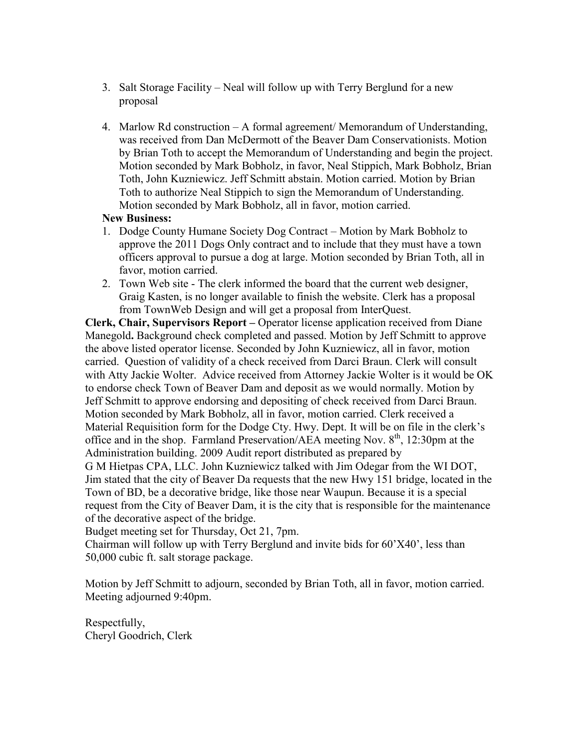- 3. Salt Storage Facility Neal will follow up with Terry Berglund for a new proposal
- 4. Marlow Rd construction A formal agreement/ Memorandum of Understanding, was received from Dan McDermott of the Beaver Dam Conservationists. Motion by Brian Toth to accept the Memorandum of Understanding and begin the project. Motion seconded by Mark Bobholz, in favor, Neal Stippich, Mark Bobholz, Brian Toth, John Kuzniewicz. Jeff Schmitt abstain. Motion carried. Motion by Brian Toth to authorize Neal Stippich to sign the Memorandum of Understanding. Motion seconded by Mark Bobholz, all in favor, motion carried.

#### **New Business:**

- 1. Dodge County Humane Society Dog Contract Motion by Mark Bobholz to approve the 2011 Dogs Only contract and to include that they must have a town officers approval to pursue a dog at large. Motion seconded by Brian Toth, all in favor, motion carried.
- 2. Town Web site The clerk informed the board that the current web designer, Graig Kasten, is no longer available to finish the website. Clerk has a proposal from TownWeb Design and will get a proposal from InterQuest.

**Clerk, Chair, Supervisors Report –** Operator license application received from Diane Manegold**.** Background check completed and passed. Motion by Jeff Schmitt to approve the above listed operator license. Seconded by John Kuzniewicz, all in favor, motion carried. Question of validity of a check received from Darci Braun. Clerk will consult with Atty Jackie Wolter. Advice received from Attorney Jackie Wolter is it would be OK to endorse check Town of Beaver Dam and deposit as we would normally. Motion by Jeff Schmitt to approve endorsing and depositing of check received from Darci Braun. Motion seconded by Mark Bobholz, all in favor, motion carried. Clerk received a Material Requisition form for the Dodge Cty. Hwy. Dept. It will be on file in the clerk's office and in the shop. Farmland Preservation/AEA meeting Nov.  $8<sup>th</sup>$ , 12:30pm at the Administration building. 2009 Audit report distributed as prepared by

G M Hietpas CPA, LLC. John Kuzniewicz talked with Jim Odegar from the WI DOT, Jim stated that the city of Beaver Da requests that the new Hwy 151 bridge, located in the Town of BD, be a decorative bridge, like those near Waupun. Because it is a special request from the City of Beaver Dam, it is the city that is responsible for the maintenance of the decorative aspect of the bridge.

Budget meeting set for Thursday, Oct 21, 7pm.

Chairman will follow up with Terry Berglund and invite bids for 60'X40', less than 50,000 cubic ft. salt storage package.

Motion by Jeff Schmitt to adjourn, seconded by Brian Toth, all in favor, motion carried. Meeting adjourned 9:40pm.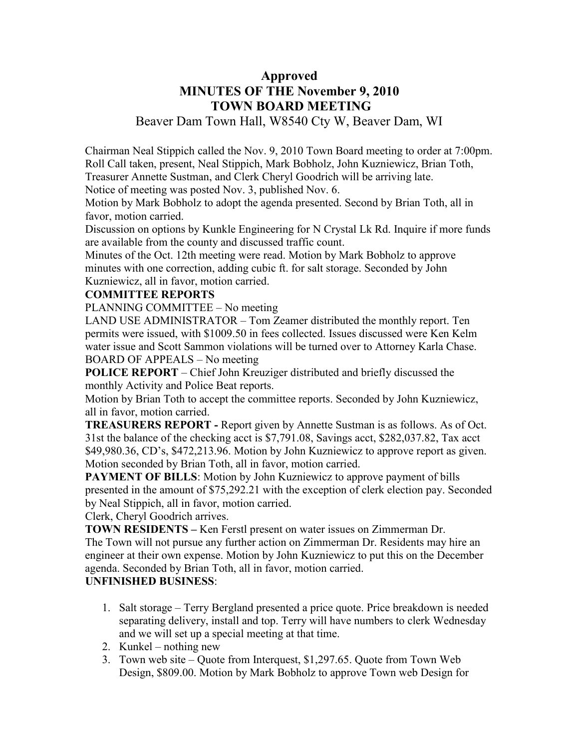## **Approved MINUTES OF THE November 9, 2010 TOWN BOARD MEETING**

### Beaver Dam Town Hall, W8540 Cty W, Beaver Dam, WI

Chairman Neal Stippich called the Nov. 9, 2010 Town Board meeting to order at 7:00pm. Roll Call taken, present, Neal Stippich, Mark Bobholz, John Kuzniewicz, Brian Toth, Treasurer Annette Sustman, and Clerk Cheryl Goodrich will be arriving late.

Notice of meeting was posted Nov. 3, published Nov. 6. Motion by Mark Bobholz to adopt the agenda presented. Second by Brian Toth, all in

favor, motion carried.

Discussion on options by Kunkle Engineering for N Crystal Lk Rd. Inquire if more funds are available from the county and discussed traffic count.

Minutes of the Oct. 12th meeting were read. Motion by Mark Bobholz to approve minutes with one correction, adding cubic ft. for salt storage. Seconded by John Kuzniewicz, all in favor, motion carried.

#### **COMMITTEE REPORTS**

PLANNING COMMITTEE – No meeting

LAND USE ADMINISTRATOR – Tom Zeamer distributed the monthly report. Ten permits were issued, with \$1009.50 in fees collected. Issues discussed were Ken Kelm water issue and Scott Sammon violations will be turned over to Attorney Karla Chase. BOARD OF APPEALS – No meeting

**POLICE REPORT** – Chief John Kreuziger distributed and briefly discussed the monthly Activity and Police Beat reports.

Motion by Brian Toth to accept the committee reports. Seconded by John Kuzniewicz, all in favor, motion carried.

**TREASURERS REPORT -** Report given by Annette Sustman is as follows. As of Oct. 31st the balance of the checking acct is \$7,791.08, Savings acct, \$282,037.82, Tax acct \$49,980.36, CD's, \$472,213.96. Motion by John Kuzniewicz to approve report as given. Motion seconded by Brian Toth, all in favor, motion carried.

**PAYMENT OF BILLS:** Motion by John Kuzniewicz to approve payment of bills presented in the amount of \$75,292.21 with the exception of clerk election pay. Seconded by Neal Stippich, all in favor, motion carried.

Clerk, Cheryl Goodrich arrives.

**TOWN RESIDENTS –** Ken Ferstl present on water issues on Zimmerman Dr. The Town will not pursue any further action on Zimmerman Dr. Residents may hire an engineer at their own expense. Motion by John Kuzniewicz to put this on the December agenda. Seconded by Brian Toth, all in favor, motion carried.

#### **UNFINISHED BUSINESS**:

- 1. Salt storage Terry Bergland presented a price quote. Price breakdown is needed separating delivery, install and top. Terry will have numbers to clerk Wednesday and we will set up a special meeting at that time.
- 2. Kunkel nothing new
- 3. Town web site Quote from Interquest, \$1,297.65. Quote from Town Web Design, \$809.00. Motion by Mark Bobholz to approve Town web Design for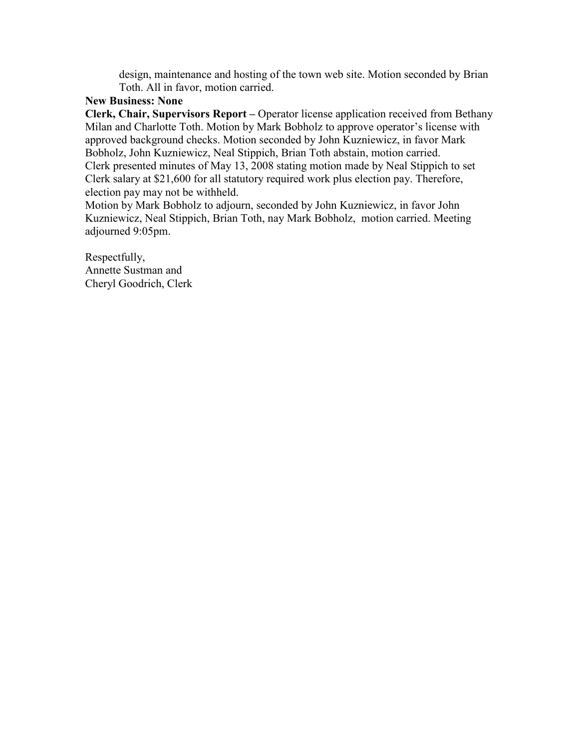design, maintenance and hosting of the town web site. Motion seconded by Brian Toth. All in favor, motion carried.

#### **New Business: None**

**Clerk, Chair, Supervisors Report –** Operator license application received from Bethany Milan and Charlotte Toth. Motion by Mark Bobholz to approve operator's license with approved background checks. Motion seconded by John Kuzniewicz, in favor Mark Bobholz, John Kuzniewicz, Neal Stippich, Brian Toth abstain, motion carried. Clerk presented minutes of May 13, 2008 stating motion made by Neal Stippich to set Clerk salary at \$21,600 for all statutory required work plus election pay. Therefore, election pay may not be withheld.

Motion by Mark Bobholz to adjourn, seconded by John Kuzniewicz, in favor John Kuzniewicz, Neal Stippich, Brian Toth, nay Mark Bobholz, motion carried. Meeting adjourned 9:05pm.

Respectfully, Annette Sustman and Cheryl Goodrich, Clerk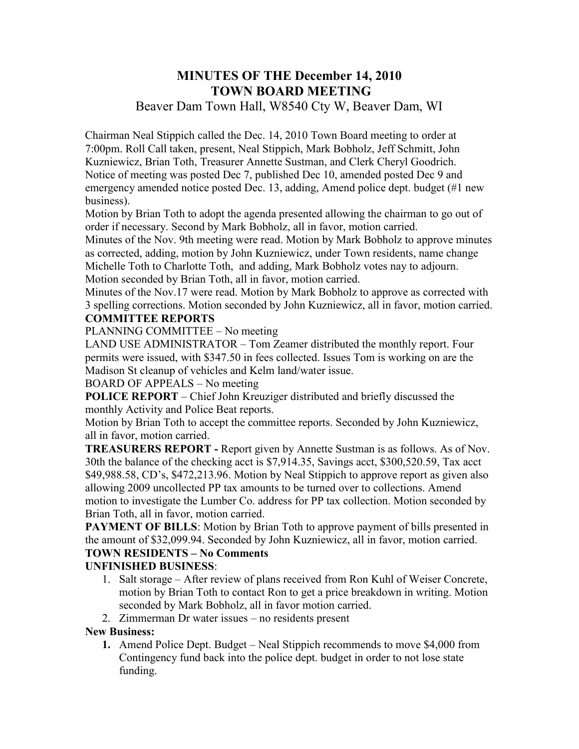# **MINUTES OF THE December 14, 2010 TOWN BOARD MEETING**

### Beaver Dam Town Hall, W8540 Cty W, Beaver Dam, WI

Chairman Neal Stippich called the Dec. 14, 2010 Town Board meeting to order at 7:00pm. Roll Call taken, present, Neal Stippich, Mark Bobholz, Jeff Schmitt, John Kuzniewicz, Brian Toth, Treasurer Annette Sustman, and Clerk Cheryl Goodrich. Notice of meeting was posted Dec 7, published Dec 10, amended posted Dec 9 and emergency amended notice posted Dec. 13, adding, Amend police dept. budget (#1 new business).

Motion by Brian Toth to adopt the agenda presented allowing the chairman to go out of order if necessary. Second by Mark Bobholz, all in favor, motion carried.

Minutes of the Nov. 9th meeting were read. Motion by Mark Bobholz to approve minutes as corrected, adding, motion by John Kuzniewicz, under Town residents, name change Michelle Toth to Charlotte Toth, and adding, Mark Bobholz votes nay to adjourn. Motion seconded by Brian Toth, all in favor, motion carried.

Minutes of the Nov.17 were read. Motion by Mark Bobholz to approve as corrected with 3 spelling corrections. Motion seconded by John Kuzniewicz, all in favor, motion carried.

#### **COMMITTEE REPORTS**

PLANNING COMMITTEE – No meeting

LAND USE ADMINISTRATOR – Tom Zeamer distributed the monthly report. Four permits were issued, with \$347.50 in fees collected. Issues Tom is working on are the Madison St cleanup of vehicles and Kelm land/water issue.

#### BOARD OF APPEALS – No meeting

**POLICE REPORT** – Chief John Kreuziger distributed and briefly discussed the monthly Activity and Police Beat reports.

Motion by Brian Toth to accept the committee reports. Seconded by John Kuzniewicz, all in favor, motion carried.

**TREASURERS REPORT -** Report given by Annette Sustman is as follows. As of Nov. 30th the balance of the checking acct is \$7,914.35, Savings acct, \$300,520.59, Tax acct \$49,988.58, CD's, \$472,213.96. Motion by Neal Stippich to approve report as given also allowing 2009 uncollected PP tax amounts to be turned over to collections. Amend motion to investigate the Lumber Co. address for PP tax collection. Motion seconded by Brian Toth, all in favor, motion carried.

**PAYMENT OF BILLS:** Motion by Brian Toth to approve payment of bills presented in the amount of \$32,099.94. Seconded by John Kuzniewicz, all in favor, motion carried.

# **TOWN RESIDENTS – No Comments**

### **UNFINISHED BUSINESS**:

- 1. Salt storage After review of plans received from Ron Kuhl of Weiser Concrete, motion by Brian Toth to contact Ron to get a price breakdown in writing. Motion seconded by Mark Bobholz, all in favor motion carried.
- 2. Zimmerman Dr water issues no residents present

### **New Business:**

**1.** Amend Police Dept. Budget – Neal Stippich recommends to move \$4,000 from Contingency fund back into the police dept. budget in order to not lose state funding.